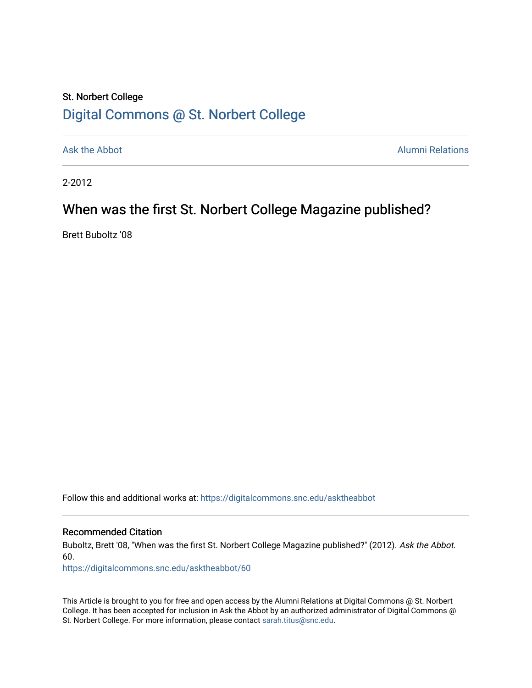### St. Norbert College [Digital Commons @ St. Norbert College](https://digitalcommons.snc.edu/)

[Ask the Abbot](https://digitalcommons.snc.edu/asktheabbot) **Alumni Relations** Ask the Abbot [Alumni Relations](https://digitalcommons.snc.edu/alumni) and Alumni Relations and Alumni Relations and Alumni Relations and Alumni Relations and Alumni Relations and Alumni Relations and Alumni Relations and Alumni

2-2012

## When was the first St. Norbert College Magazine published?

Brett Buboltz '08

Follow this and additional works at: [https://digitalcommons.snc.edu/asktheabbot](https://digitalcommons.snc.edu/asktheabbot?utm_source=digitalcommons.snc.edu%2Fasktheabbot%2F60&utm_medium=PDF&utm_campaign=PDFCoverPages)

#### Recommended Citation

Buboltz, Brett '08, "When was the first St. Norbert College Magazine published?" (2012). Ask the Abbot. 60.

[https://digitalcommons.snc.edu/asktheabbot/60](https://digitalcommons.snc.edu/asktheabbot/60?utm_source=digitalcommons.snc.edu%2Fasktheabbot%2F60&utm_medium=PDF&utm_campaign=PDFCoverPages) 

This Article is brought to you for free and open access by the Alumni Relations at Digital Commons @ St. Norbert College. It has been accepted for inclusion in Ask the Abbot by an authorized administrator of Digital Commons @ St. Norbert College. For more information, please contact [sarah.titus@snc.edu.](mailto:sarah.titus@snc.edu)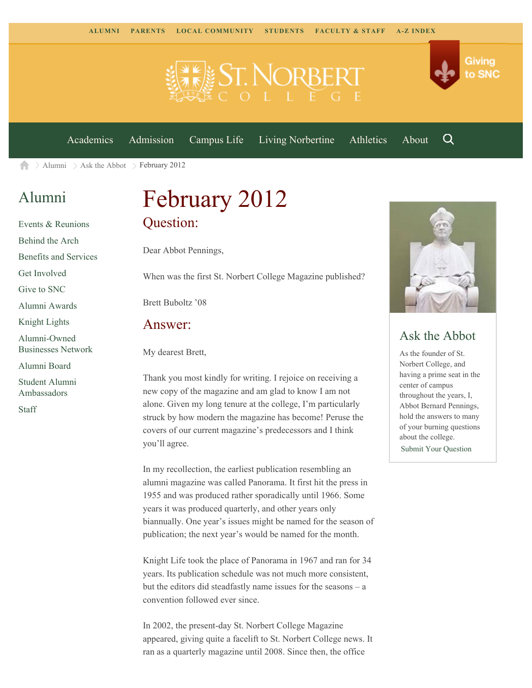

Giving to SNC

[Academics](https://www.snc.edu/academics) [Admission](https://www.snc.edu/admission) [Campus Life](https://www.snc.edu/campuslife) [Living Norbertine](https://www.snc.edu/livingnorbertine) [Athletics](https://www.snc.edu/athletics) [About](https://www.snc.edu/about)

Q

[Alumni](https://www.snc.edu/alumni/)  $\geq$  [Ask the Abbot](https://www.snc.edu/alumni/abbot/)  $\geq$  February 2012 A

### [Alumni](https://www.snc.edu/alumni/index.html)

[Events & Reunions](https://www.snc.edu/alumni/event/index.html) [Behind the Arch](https://www.snc.edu/alumni/event/behindthearch/) [Benefits and Services](https://www.snc.edu/alumni/benefits.html) [Get Involved](https://www.snc.edu/alumni/getinvolved.html) [Give to SNC](http://giving.snc.edu/) [Alumni Awards](https://www.snc.edu/alumni/awards/index.html) [Knight Lights](https://www.snc.edu/alumni/knightlights/index.html) [Alumni-Owned](https://www.snc.edu/alumni/directory/index.html) [Businesses Network](https://www.snc.edu/alumni/directory/index.html) [Alumni Board](https://www.snc.edu/alumni/alumniboard.html) [Student Alumni](https://www.snc.edu/alumni/saa.html) [Ambassadors](https://www.snc.edu/alumni/saa.html) [Staff](https://www.snc.edu/alumni/contactus.html)

# February 2012 Question:

Dear Abbot Pennings,

When was the first St. Norbert College Magazine published?

Brett Buboltz '08

#### Answer:

My dearest Brett,

Thank you most kindly for writing. I rejoice on receiving a new copy of the magazine and am glad to know I am not alone. Given my long tenure at the college, I'm particularly struck by how modern the magazine has become! Peruse the covers of our current magazine's predecessors and I think you'll agree.

In my recollection, the earliest publication resembling an alumni magazine was called Panorama. It first hit the press in 1955 and was produced rather sporadically until 1966. Some years it was produced quarterly, and other years only biannually. One year's issues might be named for the season of publication; the next year's would be named for the month.

Knight Life took the place of Panorama in 1967 and ran for 34 years. Its publication schedule was not much more consistent, but the editors did steadfastly name issues for the seasons – a convention followed ever since.

In 2002, the present-day St. Norbert College Magazine appeared, giving quite a facelift to St. Norbert College news. It ran as a quarterly magazine until 2008. Since then, the office



#### Ask the Abbot

As the founder of St. Norbert College, and having a prime seat in the center of campus throughout the years, I, Abbot Bernard Pennings, hold the answers to many of your burning questions about the college. [Submit Your Question](https://www.snc.edu/alumni/abbot/index.html)